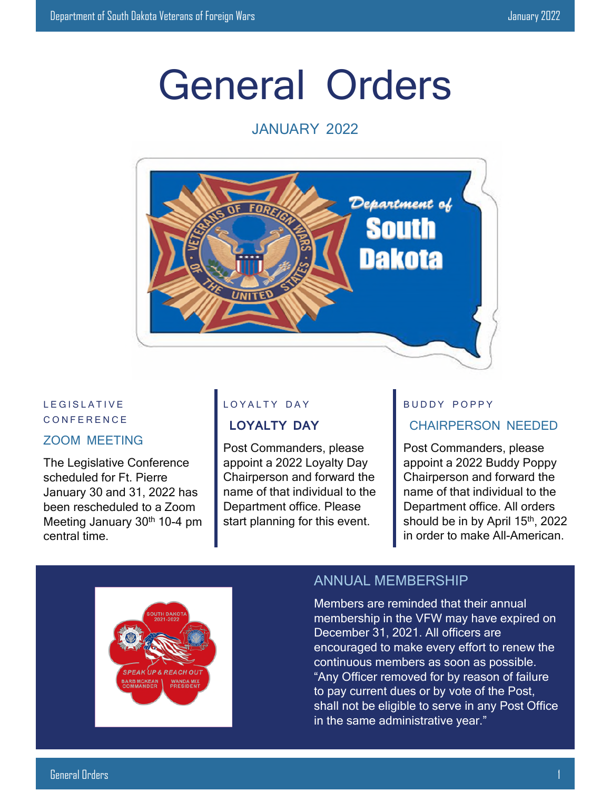# General Orders

#### JANUARY 2022



#### L E GISLATIVE C O N F E R E N C E

#### ZOOM MEETING

The Legislative Conference scheduled for Ft. Pierre January 30 and 31, 2022 has been rescheduled to a Zoom Meeting January 30<sup>th</sup> 10-4 pm central time.

#### LOYALTY DAY

#### **LOYALTY DAY**

Post Commanders, please appoint a 2022 Loyalty Day Chairperson and forward the name of that individual to the Department office. Please start planning for this event.

### BUDDY POPPY

#### CHAIRPERSON NEEDED

Post Commanders, please appoint a 2022 Buddy Poppy Chairperson and forward the name of that individual to the Department office. All orders should be in by April 15<sup>th</sup>, 2022 in order to make All-American.



#### ANNUAL MEMBERSHIP

Members are reminded that their annual membership in the VFW may have expired on December 31, 2021. All officers are encouraged to make every effort to renew the continuous members as soon as possible. "Any Officer removed for by reason of failure to pay current dues or by vote of the Post, shall not be eligible to serve in any Post Office in the same administrative year."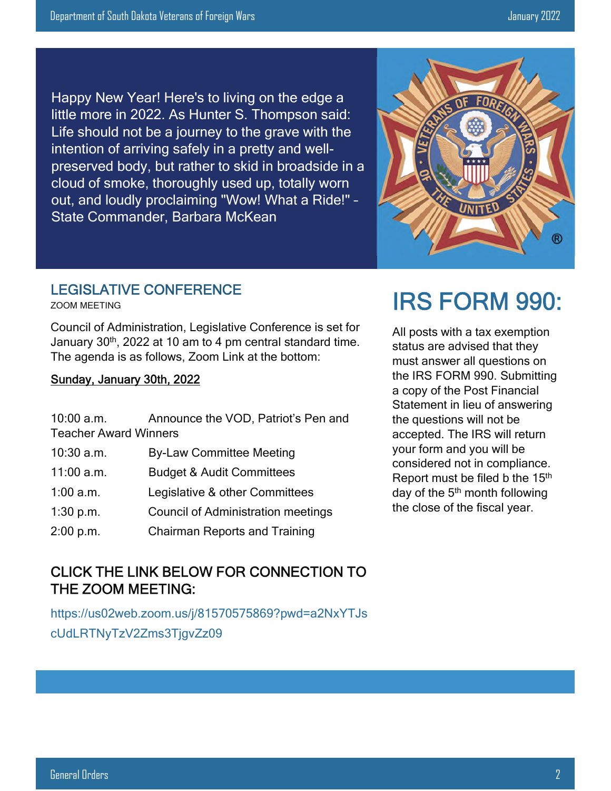Happy New Year! Here's to living on the edge a little more in 2022. As Hunter S. Thompson said: Life should not be a journey to the grave with the intention of arriving safely in a pretty and wellpreserved body, but rather to skid in broadside in a cloud of smoke, thoroughly used up, totally worn out, and loudly proclaiming "Wow! What a Ride!" – State Commander, Barbara McKean

## LEGISLATIVE CONFERENCE

ZOOM MEETING

Council of Administration, Legislative Conference is set for January 30<sup>th</sup>, 2022 at 10 am to 4 pm central standard time. The agenda is as follows, Zoom Link at the bottom:

#### Sunday, January 30th, 2022

| $10:00$ a.m.                 | Announce the VOD, Patriot's Pen and       |  |
|------------------------------|-------------------------------------------|--|
| <b>Teacher Award Winners</b> |                                           |  |
| 10:30 a.m.                   | <b>By-Law Committee Meeting</b>           |  |
| 11:00 a.m.                   | <b>Budget &amp; Audit Committees</b>      |  |
| $1:00$ a.m.                  | Legislative & other Committees            |  |
| 1:30 p.m.                    | <b>Council of Administration meetings</b> |  |
| 2:00 p.m.                    | <b>Chairman Reports and Training</b>      |  |

#### CLICK THE LINK BELOW FOR CONNECTION TO THE ZOOM MEETING:

https://us02web.zoom.us/j/81570575869?pwd=a2NxYTJs cUdLRTNyTzV2Zms3TjgvZz09

# IRS FORM 990:

All posts with a tax exemption status are advised that they must answer all questions on the IRS FORM 990. Submitting a copy of the Post Financial Statement in lieu of answering the questions will not be accepted. The IRS will return your form and you will be considered not in compliance. Report must be filed b the 15<sup>th</sup> day of the  $5<sup>th</sup>$  month following the close of the fiscal year.

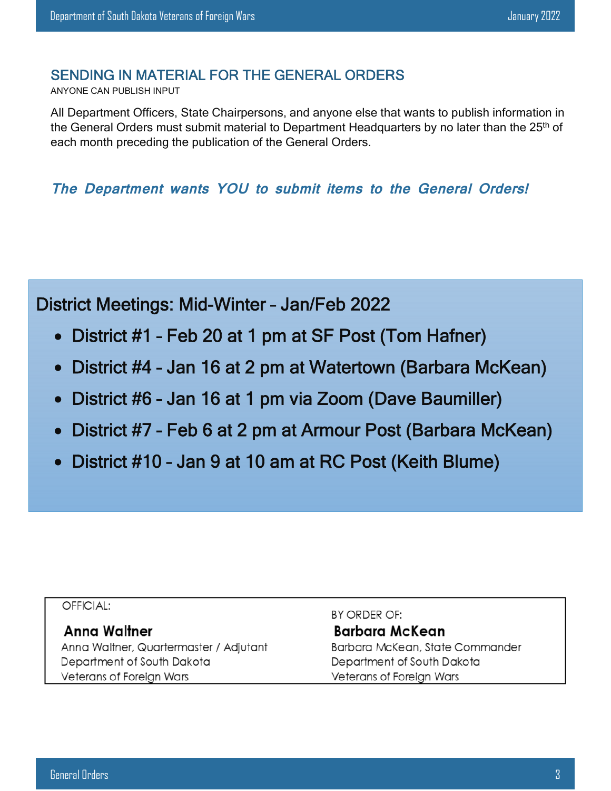#### SENDING IN MATERIAL FOR THE GENERAL ORDERS

ANYONE CAN PUBLISH INPUT

All Department Officers, State Chairpersons, and anyone else that wants to publish information in the General Orders must submit material to Department Headquarters by no later than the 25<sup>th</sup> of each month preceding the publication of the General Orders.

**The Department wants YOU to submit items to the General Orders!** 

District Meetings: Mid-Winter – Jan/Feb 2022

- District #1 Feb 20 at 1 pm at SF Post (Tom Hafner)
- District #4 Jan 16 at 2 pm at Watertown (Barbara McKean)
- District #6 Jan 16 at 1 pm via Zoom (Dave Baumiller)
- District #7 Feb 6 at 2 pm at Armour Post (Barbara McKean)
- District #10 Jan 9 at 10 am at RC Post (Keith Blume)

#### OFFICIAL:

#### **Anna Waltner**

Anna Waltner, Quartermaster / Adjutant Department of South Dakota Veterans of Foreign Wars

BY ORDER OF:

#### **Barbara McKean**

Barbara McKean, State Commander Department of South Dakota Veterans of Foreign Wars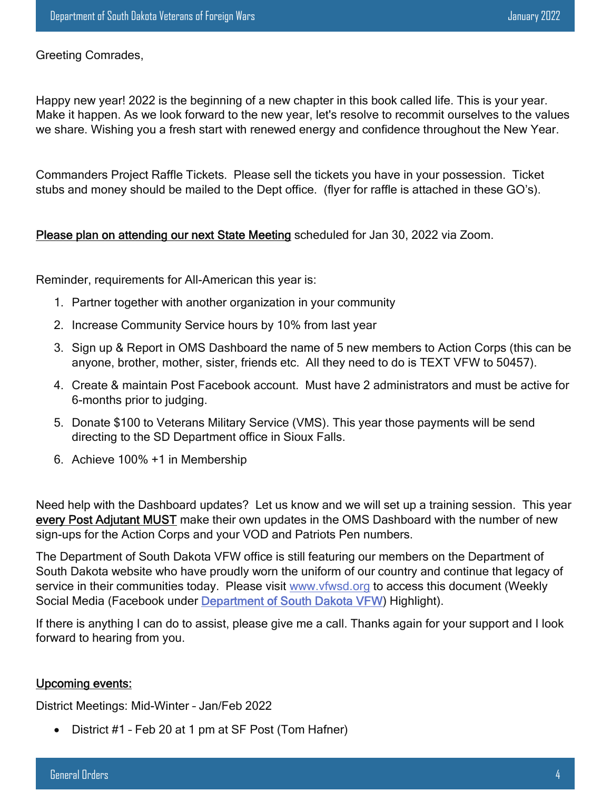Greeting Comrades,

Happy new year! 2022 is the beginning of a new chapter in this book called life. This is your year. Make it happen. As we look forward to the new year, let's resolve to recommit ourselves to the values we share. Wishing you a fresh start with renewed energy and confidence throughout the New Year.

Commanders Project Raffle Tickets. Please sell the tickets you have in your possession. Ticket stubs and money should be mailed to the Dept office. (flyer for raffle is attached in these GO's).

#### Please plan on attending our next State Meeting scheduled for Jan 30, 2022 via Zoom.

Reminder, requirements for All-American this year is:

- 1. Partner together with another organization in your community
- 2. Increase Community Service hours by 10% from last year
- 3. Sign up & Report in OMS Dashboard the name of 5 new members to Action Corps (this can be anyone, brother, mother, sister, friends etc. All they need to do is TEXT VFW to 50457).
- 4. Create & maintain Post Facebook account. Must have 2 administrators and must be active for 6-months prior to judging.
- 5. Donate \$100 to Veterans Military Service (VMS). This year those payments will be send directing to the SD Department office in Sioux Falls.
- 6. Achieve 100% +1 in Membership

Need help with the Dashboard updates? Let us know and we will set up a training session. This year every Post Adjutant MUST make their own updates in the OMS Dashboard with the number of new sign-ups for the Action Corps and your VOD and Patriots Pen numbers.

The Department of South Dakota VFW office is still featuring our members on the Department of South Dakota website who have proudly worn the uniform of our country and continue that legacy of service in their communities today. Please visit www.vfwsd.org to access this document (Weekly Social Media (Facebook under Department of South Dakota VFW) Highlight).

If there is anything I can do to assist, please give me a call. Thanks again for your support and I look forward to hearing from you.

#### Upcoming events:

District Meetings: Mid-Winter – Jan/Feb 2022

• District #1 - Feb 20 at 1 pm at SF Post (Tom Hafner)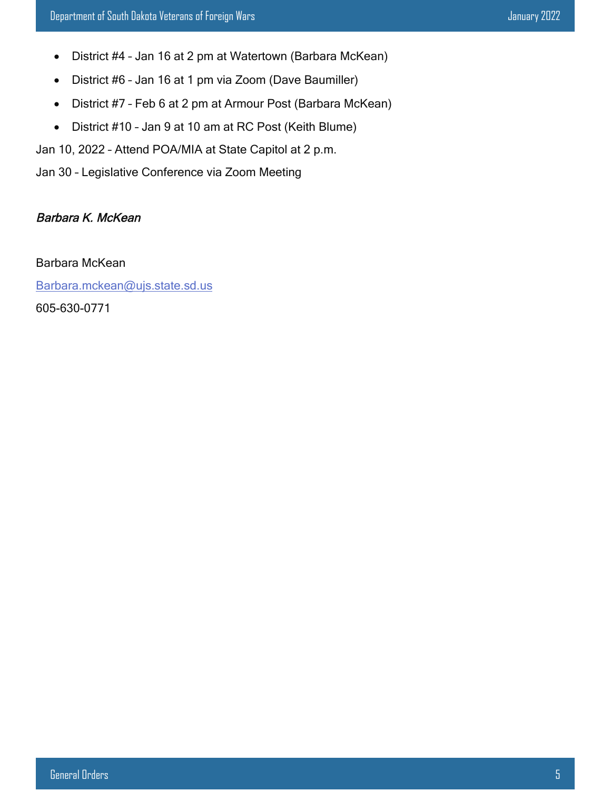- District #4 Jan 16 at 2 pm at Watertown (Barbara McKean)
- District #6 Jan 16 at 1 pm via Zoom (Dave Baumiller)
- District #7 Feb 6 at 2 pm at Armour Post (Barbara McKean)
- District #10 Jan 9 at 10 am at RC Post (Keith Blume)

Jan 10, 2022 – Attend POA/MIA at State Capitol at 2 p.m.

Jan 30 – Legislative Conference via Zoom Meeting

#### Barbara K. McKean

Barbara McKean

Barbara.mckean@ujs.state.sd.us

605-630-0771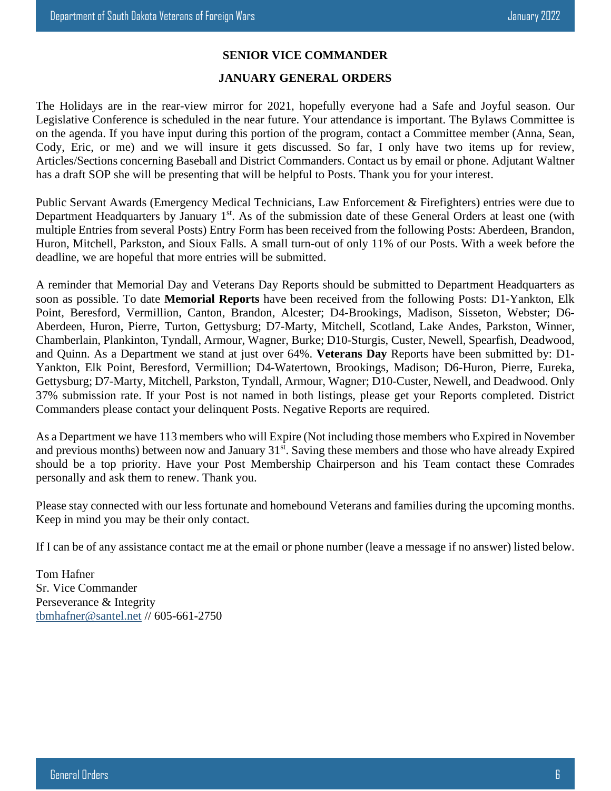#### **SENIOR VICE COMMANDER**

#### **JANUARY GENERAL ORDERS**

The Holidays are in the rear-view mirror for 2021, hopefully everyone had a Safe and Joyful season. Our Legislative Conference is scheduled in the near future. Your attendance is important. The Bylaws Committee is on the agenda. If you have input during this portion of the program, contact a Committee member (Anna, Sean, Cody, Eric, or me) and we will insure it gets discussed. So far, I only have two items up for review, Articles/Sections concerning Baseball and District Commanders. Contact us by email or phone. Adjutant Waltner has a draft SOP she will be presenting that will be helpful to Posts. Thank you for your interest.

Public Servant Awards (Emergency Medical Technicians, Law Enforcement & Firefighters) entries were due to Department Headquarters by January 1<sup>st</sup>. As of the submission date of these General Orders at least one (with multiple Entries from several Posts) Entry Form has been received from the following Posts: Aberdeen, Brandon, Huron, Mitchell, Parkston, and Sioux Falls. A small turn-out of only 11% of our Posts. With a week before the deadline, we are hopeful that more entries will be submitted.

A reminder that Memorial Day and Veterans Day Reports should be submitted to Department Headquarters as soon as possible. To date **Memorial Reports** have been received from the following Posts: D1-Yankton, Elk Point, Beresford, Vermillion, Canton, Brandon, Alcester; D4-Brookings, Madison, Sisseton, Webster; D6- Aberdeen, Huron, Pierre, Turton, Gettysburg; D7-Marty, Mitchell, Scotland, Lake Andes, Parkston, Winner, Chamberlain, Plankinton, Tyndall, Armour, Wagner, Burke; D10-Sturgis, Custer, Newell, Spearfish, Deadwood, and Quinn. As a Department we stand at just over 64%. **Veterans Day** Reports have been submitted by: D1- Yankton, Elk Point, Beresford, Vermillion; D4-Watertown, Brookings, Madison; D6-Huron, Pierre, Eureka, Gettysburg; D7-Marty, Mitchell, Parkston, Tyndall, Armour, Wagner; D10-Custer, Newell, and Deadwood. Only 37% submission rate. If your Post is not named in both listings, please get your Reports completed. District Commanders please contact your delinquent Posts. Negative Reports are required.

As a Department we have 113 members who will Expire (Not including those members who Expired in November and previous months) between now and January 31<sup>st</sup>. Saving these members and those who have already Expired should be a top priority. Have your Post Membership Chairperson and his Team contact these Comrades personally and ask them to renew. Thank you.

Please stay connected with our less fortunate and homebound Veterans and families during the upcoming months. Keep in mind you may be their only contact.

If I can be of any assistance contact me at the email or phone number (leave a message if no answer) listed below.

Tom Hafner Sr. Vice Commander Perseverance & Integrity tbmhafner@santel.net // 605-661-2750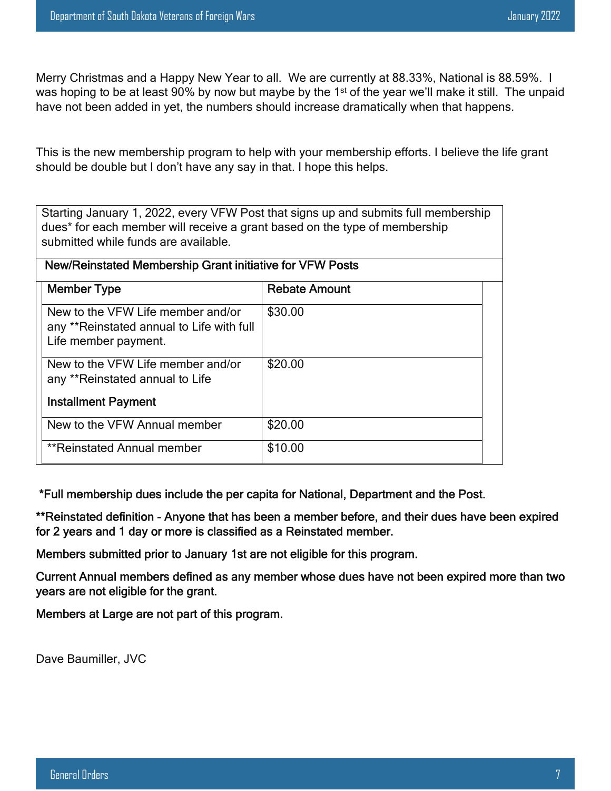Merry Christmas and a Happy New Year to all. We are currently at 88.33%, National is 88.59%. I was hoping to be at least 90% by now but maybe by the 1<sup>st</sup> of the year we'll make it still. The unpaid have not been added in yet, the numbers should increase dramatically when that happens.

This is the new membership program to help with your membership efforts. I believe the life grant should be double but I don't have any say in that. I hope this helps.

Starting January 1, 2022, every VFW Post that signs up and submits full membership dues\* for each member will receive a grant based on the type of membership submitted while funds are available.

| <b>Member Type</b>                                                                                     | <b>Rebate Amount</b> |
|--------------------------------------------------------------------------------------------------------|----------------------|
| New to the VFW Life member and/or<br>any **Reinstated annual to Life with full<br>Life member payment. | \$30.00              |
| New to the VFW Life member and/or<br>any **Reinstated annual to Life                                   | \$20.00              |
| <b>Installment Payment</b>                                                                             |                      |
| New to the VFW Annual member                                                                           | \$20.00              |
| **Reinstated Annual member                                                                             | \$10.00              |

\*Full membership dues include the per capita for National, Department and the Post.

\*\*Reinstated definition - Anyone that has been a member before, and their dues have been expired for 2 years and 1 day or more is classified as a Reinstated member.

Members submitted prior to January 1st are not eligible for this program.

Current Annual members defined as any member whose dues have not been expired more than two years are not eligible for the grant.

Members at Large are not part of this program.

Dave Baumiller, JVC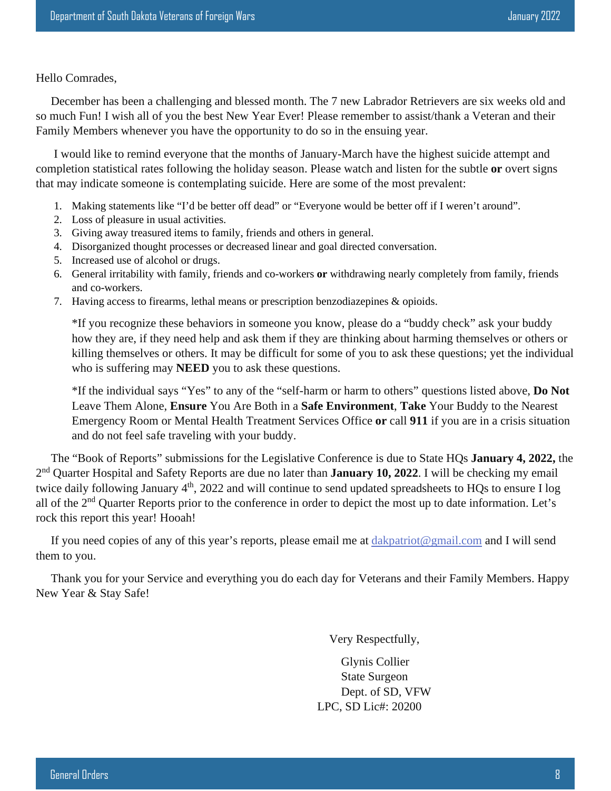#### Hello Comrades,

 December has been a challenging and blessed month. The 7 new Labrador Retrievers are six weeks old and so much Fun! I wish all of you the best New Year Ever! Please remember to assist/thank a Veteran and their Family Members whenever you have the opportunity to do so in the ensuing year.

 I would like to remind everyone that the months of January-March have the highest suicide attempt and completion statistical rates following the holiday season. Please watch and listen for the subtle **or** overt signs that may indicate someone is contemplating suicide. Here are some of the most prevalent:

- 1. Making statements like "I'd be better off dead" or "Everyone would be better off if I weren't around".
- 2. Loss of pleasure in usual activities.
- 3. Giving away treasured items to family, friends and others in general.
- 4. Disorganized thought processes or decreased linear and goal directed conversation.
- 5. Increased use of alcohol or drugs.
- 6. General irritability with family, friends and co-workers **or** withdrawing nearly completely from family, friends and co-workers.
- 7. Having access to firearms, lethal means or prescription benzodiazepines & opioids.

\*If you recognize these behaviors in someone you know, please do a "buddy check" ask your buddy how they are, if they need help and ask them if they are thinking about harming themselves or others or killing themselves or others. It may be difficult for some of you to ask these questions; yet the individual who is suffering may **NEED** you to ask these questions.

\*If the individual says "Yes" to any of the "self-harm or harm to others" questions listed above, **Do Not** Leave Them Alone, **Ensure** You Are Both in a **Safe Environment**, **Take** Your Buddy to the Nearest Emergency Room or Mental Health Treatment Services Office **or** call **911** if you are in a crisis situation and do not feel safe traveling with your buddy.

 The "Book of Reports" submissions for the Legislative Conference is due to State HQs **January 4, 2022,** the 2<sup>nd</sup> Quarter Hospital and Safety Reports are due no later than **January 10, 2022**. I will be checking my email twice daily following January 4<sup>th</sup>, 2022 and will continue to send updated spreadsheets to HQs to ensure I log all of the 2<sup>nd</sup> Quarter Reports prior to the conference in order to depict the most up to date information. Let's rock this report this year! Hooah!

 If you need copies of any of this year's reports, please email me at dakpatriot@gmail.com and I will send them to you.

 Thank you for your Service and everything you do each day for Veterans and their Family Members. Happy New Year & Stay Safe!

Very Respectfully,

 Glynis Collier State Surgeon Dept. of SD, VFW LPC, SD Lic#: 20200